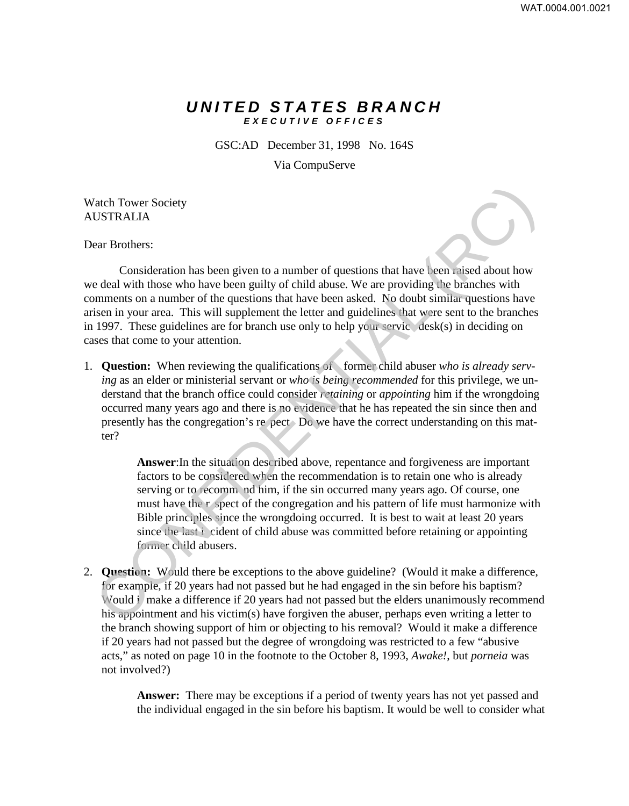## *UNITED STATES BRANCH EXECUTIVE OFFICES*

GSC:AD December 31, 1998 No. 164S

Via CompuServe

Watch Tower Society AUSTRALIA

Dear Brothers:

Consideration has been given to a number of questions that have been raised about how we deal with those who have been guilty of child abuse. We are providing the branches with comments on a number of the questions that have been asked. No doubt similar questions have arisen in your area. This will supplement the letter and guidelines that were sent to the branches in 1997. These guidelines are for branch use only to help your servic desk(s) in deciding on cases that come to your attention.

1. **Question:** When reviewing the qualifications of former child abuser *who is already serving* as an elder or ministerial servant or *who is being recommended* for this privilege, we understand that the branch office could consider *retaining* or *appointing* him if the wrongdoing occurred many years ago and there is no evidence that he has repeated the sin since then and presently has the congregation's re pect Do we have the correct understanding on this matter?

**Answer**:In the situation described above, repentance and forgiveness are important factors to be considered when the recommendation is to retain one who is already serving or to recomm nd him, if the sin occurred many years ago. Of course, one must have the r spect of the congregation and his pattern of life must harmonize with Bible principles since the wrongdoing occurred. It is best to wait at least 20 years since the last i cident of child abuse was committed before retaining or appointing former child abusers. The Tower Society<br>
Carl Tower Society<br>
USTRALIA<br>
ear Brothers:<br>
Consideration has been given to a number of questions that have deen raised about how<br>
mements on a number of the questions that have been raised about how<br>

2. **Question:** Would there be exceptions to the above guideline? (Would it make a difference, for example, if 20 years had not passed but he had engaged in the sin before his baptism? Would i make a difference if 20 years had not passed but the elders unanimously recommend his appointment and his victim(s) have forgiven the abuser, perhaps even writing a letter to the branch showing support of him or objecting to his removal? Would it make a difference if 20 years had not passed but the degree of wrongdoing was restricted to a few "abusive acts," as noted on page 10 in the footnote to the October 8, 1993, *Awake!*, but *porneia* was not involved?)

> **Answer:** There may be exceptions if a period of twenty years has not yet passed and the individual engaged in the sin before his baptism. It would be well to consider what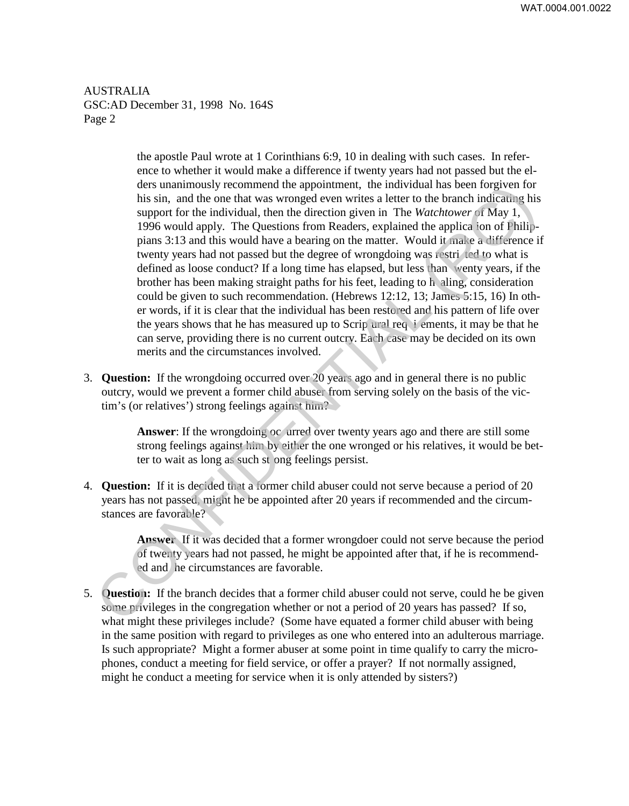WAT.0004.001.0022

AUSTRALIA GSC:AD December 31, 1998 No. 164S Page 2

the apostle Paul wrote at 1 Corinthians 6:9, 10 in dealing with such cases. In reference to whether it would make a difference if twenty years had not passed but the elders unanimously recommend the appointment, the individual has been forgiven for his sin, and the one that was wronged even writes a letter to the branch indicating his support for the individual, then the direction given in The *Watchtower* of May 1, 1996 would apply. The Questions from Readers, explained the applica ion of Philippians 3:13 and this would have a bearing on the matter. Would it make a difference if twenty years had not passed but the degree of wrongdoing was restri ted to what is defined as loose conduct? If a long time has elapsed, but less than wenty years, if the brother has been making straight paths for his feet, leading to h aling, consideration could be given to such recommendation. (Hebrews 12:12, 13; James 5:15, 16) In other words, if it is clear that the individual has been restored and his pattern of life over the years shows that he has measured up to Scrip ural req i ements, it may be that he can serve, providing there is no current outcry. Each case may be decided on its own merits and the circumstances involved. des mummonisty recommend the appointment, the modular has been forgiven for<br>this sin, and the one that we swonged even writes a letter to the branch indicating his<br>support for the individual, then the direction given in T

3. **Question:** If the wrongdoing occurred over 20 years ago and in general there is no public outcry, would we prevent a former child abuser from serving solely on the basis of the victim's (or relatives') strong feelings against him?

> **Answer**: If the wrongdoing oc urred over twenty years ago and there are still some strong feelings against him by either the one wronged or his relatives, it would be better to wait as long as such st ong feelings persist.

4. **Question:** If it is decided that a former child abuser could not serve because a period of 20 years has not passed, might he be appointed after 20 years if recommended and the circumstances are favorable?

> **Answer** If it was decided that a former wrongdoer could not serve because the period of twenty years had not passed, he might be appointed after that, if he is recommended and he circumstances are favorable.

5. **Question:** If the branch decides that a former child abuser could not serve, could he be given some privileges in the congregation whether or not a period of 20 years has passed? If so, what might these privileges include? (Some have equated a former child abuser with being in the same position with regard to privileges as one who entered into an adulterous marriage. Is such appropriate? Might a former abuser at some point in time qualify to carry the microphones, conduct a meeting for field service, or offer a prayer? If not normally assigned, might he conduct a meeting for service when it is only attended by sisters?)